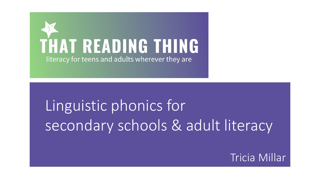

# Linguistic phonics for secondary schools & adult literacy

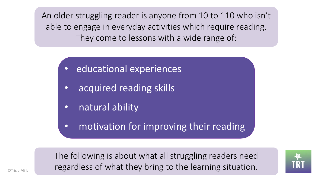An older struggling reader is anyone from 10 to 110 who isn't able to engage in everyday activities which require reading. They come to lessons with a wide range of:

- educational experiences
- acquired reading skills
- natural ability
- motivation for improving their reading

The following is about what all struggling readers need regardless of what they bring to the learning situation.

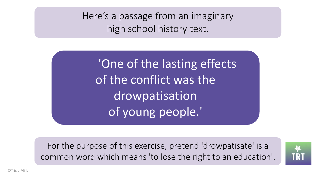Here's a passage from an imaginary high school history text.

'One of the lasting effects of the conflict was the drowpatisation of young people.'

For the purpose of this exercise, pretend 'drowpatisate' is a common word which means 'to lose the right to an education'.

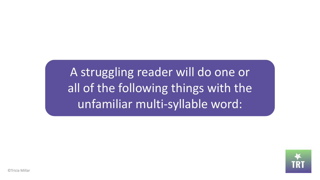A struggling reader will do one or all of the following things with the unfamiliar multi-syllable word:



©Tricia Millar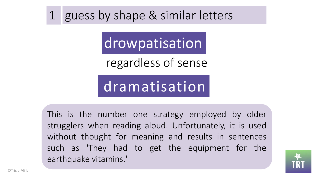### 1 guess by shape & similar letters

drowpatisation

regardless of sense

dramatisation

This is the number one strategy employed by older strugglers when reading aloud. Unfortunately, it is used without thought for meaning and results in sentences such as 'They had to get the equipment for the earthquake vitamins.'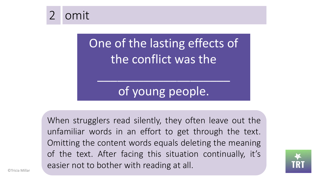

### One of the lasting effects of the conflict was the

of young people.

 $\mathcal{L}_\text{max}$  , we can consider the constraint of  $\mathcal{L}_\text{max}$ 

When strugglers read silently, they often leave out the unfamiliar words in an effort to get through the text. Omitting the content words equals deleting the meaning of the text. After facing this situation continually, it's easier not to bother with reading at all.



©Tricia Millar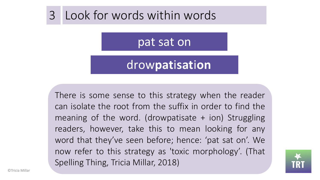### 3 Look for words within words

pat sat on

drow**pat**i**sat**i**on**

There is some sense to this strategy when the reader can isolate the root from the suffix in order to find the meaning of the word. (drowpatisate  $+$  ion) Struggling readers, however, take this to mean looking for any word that they've seen before; hence: 'pat sat on'. We now refer to this strategy as 'toxic morphology'. (That Spelling Thing, Tricia Millar, 2018)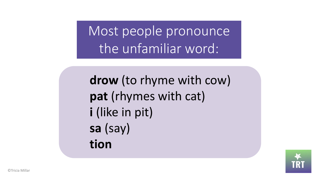Most people pronounce the unfamiliar word:

**drow** (to rhyme with cow) **pat** (rhymes with cat) **i** (like in pit) **sa** (say) **tion**

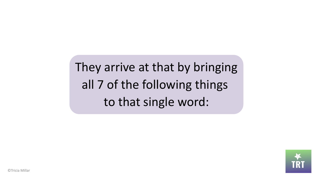They arrive at that by bringing all 7 of the following things to that single word:

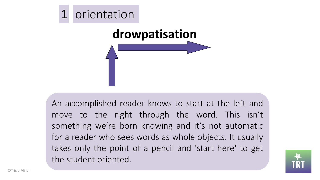

An accomplished reader knows to start at the left and move to the right through the word. This isn't something we're born knowing and it's not automatic for a reader who sees words as whole objects. It usually takes only the point of a pencil and 'start here' to get the student oriented.

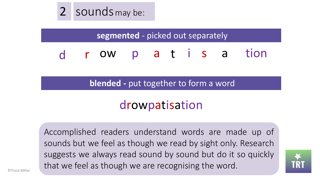

#### **segmented** - picked out separately

d r ow p a t i s a tion

**blended -** put together to form a word

### drowpatisation

Accomplished readers understand words are made up of sounds but we feel as though we read by sight only. Research suggests we always read sound by sound but do it so quickly that we feel as though we are recognising the word.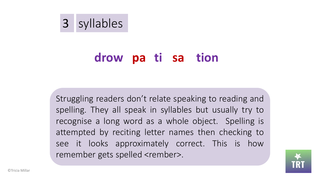3 syllables

### **drow pa ti sa tion**

Struggling readers don't relate speaking to reading and spelling. They all speak in syllables but usually try to recognise a long word as a whole object. Spelling is attempted by reciting letter names then checking to see it looks approximately correct. This is how remember gets spelled <rember>.



©Tricia Millar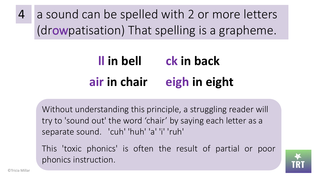4 a sound can be spelled with 2 or more letters (drowpatisation) That spelling is a grapheme.

# **ll in bell ck in back air in chair eigh in eight**

Without understanding this principle, a struggling reader will try to 'sound out' the word 'chair' by saying each letter as a separate sound. 'cuh' 'huh' 'a' 'i' 'ruh'

This 'toxic phonics' is often the result of partial or poor phonics instruction.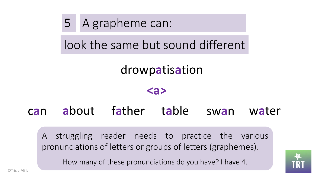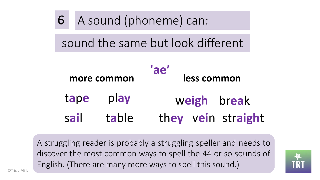

A struggling reader is probably a struggling speller and needs to discover the most common ways to spell the 44 or so sounds of English. (There are many more ways to spell this sound.)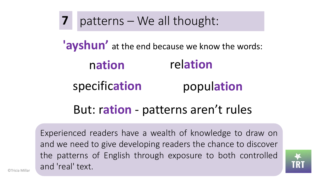**7** patterns – We all thought:

**'ayshun'** at the end because we know the words: n**ation** popul**ation** rel**ation** specific**ation**

### But: r**ation** - patterns aren't rules

Experienced readers have a wealth of knowledge to draw on and we need to give developing readers the chance to discover the patterns of English through exposure to both controlled and 'real' text.



©Tricia Millar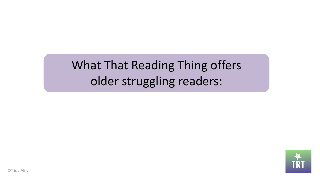## What That Reading Thing offers older struggling readers:

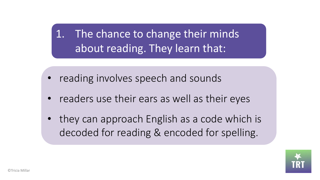1. The chance to change their minds about reading. They learn that:

- reading involves speech and sounds
- readers use their ears as well as their eyes
- they can approach English as a code which is decoded for reading & encoded for spelling.

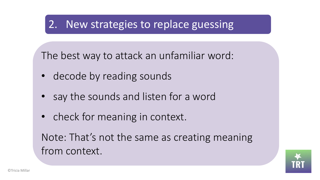### 2. New strategies to replace guessing

The best way to attack an unfamiliar word:

- decode by reading sounds
- say the sounds and listen for a word
- check for meaning in context.

Note: That's not the same as creating meaning from context.

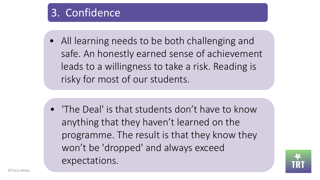### 3. Confidence

• All learning needs to be both challenging and safe. An honestly earned sense of achievement leads to a willingness to take a risk. Reading is risky for most of our students.

• 'The Deal' is that students don't have to know anything that they haven't learned on the programme. The result is that they know they won't be 'dropped' and always exceed expectations.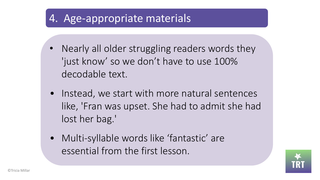### 4. Age-appropriate materials

- Nearly all older struggling readers words they 'just know' so we don't have to use 100% decodable text.
- Instead, we start with more natural sentences like, 'Fran was upset. She had to admit she had lost her bag.'
- Multi-syllable words like 'fantastic' are essential from the first lesson.

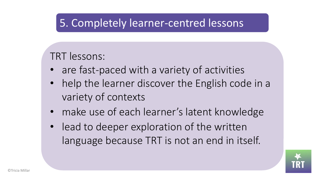### 5. Completely learner-centred lessons

#### TRT lessons:

- are fast-paced with a variety of activities
- help the learner discover the English code in a variety of contexts
- make use of each learner's latent knowledge
- lead to deeper exploration of the written language because TRT is not an end in itself.

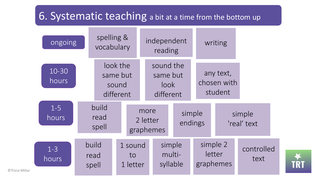#### 6. Systematic teaching a bit at a time from the bottom up



**TRT**